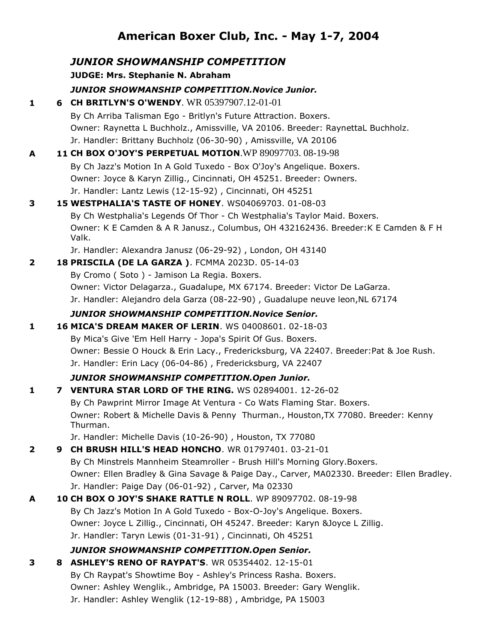# **American Boxer Club, Inc. - May 1-7, 2004**

## *JUNIOR SHOWMANSHIP COMPETITION* **JUDGE: Mrs. Stephanie N. Abraham** *JUNIOR SHOWMANSHIP COMPETITION.Novice Junior.* **1 6 CH BRITLYN'S O'WENDY**. WR 05397907.12-01-01 By Ch Arriba Talisman Ego - Britlyn's Future Attraction. Boxers. Owner: Raynetta L Buchholz., Amissville, VA 20106. Breeder: RaynettaL Buchholz. Jr. Handler: Brittany Buchholz (06-30-90) , Amissville, VA 20106 **A 11 CH BOX O'JOY'S PERPETUAL MOTION**.WP 89097703. 08-19-98 By Ch Jazz's Motion In A Gold Tuxedo - Box O'Joy's Angelique. Boxers. Owner: Joyce & Karyn Zillig., Cincinnati, OH 45251. Breeder: Owners. Jr. Handler: Lantz Lewis (12-15-92) , Cincinnati, OH 45251 **3 15 WESTPHALIA'S TASTE OF HONEY**. WS04069703. 01-08-03 By Ch Westphalia's Legends Of Thor - Ch Westphalia's Taylor Maid. Boxers. Owner: K E Camden & A R Janusz., Columbus, OH 432162436. Breeder:K E Camden & F H Valk. Jr. Handler: Alexandra Janusz (06-29-92) , London, OH 43140 **2 18 PRISCILA (DE LA GARZA )**. FCMMA 2023D. 05-14-03 By Cromo ( Soto ) - Jamison La Regia. Boxers. Owner: Victor Delagarza., Guadalupe, MX 67174. Breeder: Victor De LaGarza. Jr. Handler: Alejandro dela Garza (08-22-90) , Guadalupe neuve leon,NL 67174 *JUNIOR SHOWMANSHIP COMPETITION.Novice Senior.* **1 16 MICA'S DREAM MAKER OF LERIN**. WS 04008601. 02-18-03 By Mica's Give 'Em Hell Harry - Jopa's Spirit Of Gus. Boxers. Owner: Bessie O Houck & Erin Lacy., Fredericksburg, VA 22407. Breeder:Pat & Joe Rush. Jr. Handler: Erin Lacy (06-04-86) , Fredericksburg, VA 22407 *JUNIOR SHOWMANSHIP COMPETITION.Open Junior.* **1 7 VENTURA STAR LORD OF THE RING.** WS 02894001. 12-26-02 By Ch Pawprint Mirror Image At Ventura - Co Wats Flaming Star. Boxers. Owner: Robert & Michelle Davis & Penny Thurman., Houston,TX 77080. Breeder: Kenny Thurman. Jr. Handler: Michelle Davis (10-26-90) , Houston, TX 77080 **2 9 CH BRUSH HILL'S HEAD HONCHO**. WR 01797401. 03-21-01 By Ch Minstrels Mannheim Steamroller - Brush Hill's Morning Glory.Boxers. Owner: Ellen Bradley & Gina Savage & Paige Day., Carver, MA02330. Breeder: Ellen Bradley. Jr. Handler: Paige Day (06-01-92) , Carver, Ma 02330 **A 10 CH BOX O JOY'S SHAKE RATTLE N ROLL**. WP 89097702. 08-19-98 By Ch Jazz's Motion In A Gold Tuxedo - Box-O-Joy's Angelique. Boxers. Owner: Joyce L Zillig., Cincinnati, OH 45247. Breeder: Karyn &Joyce L Zillig. Jr. Handler: Taryn Lewis (01-31-91) , Cincinnati, Oh 45251 *JUNIOR SHOWMANSHIP COMPETITION.Open Senior.* **3 8 ASHLEY'S RENO OF RAYPAT'S**. WR 05354402. 12-15-01 By Ch Raypat's Showtime Boy - Ashley's Princess Rasha. Boxers. Owner: Ashley Wenglik., Ambridge, PA 15003. Breeder: Gary Wenglik. Jr. Handler: Ashley Wenglik (12-19-88) , Ambridge, PA 15003